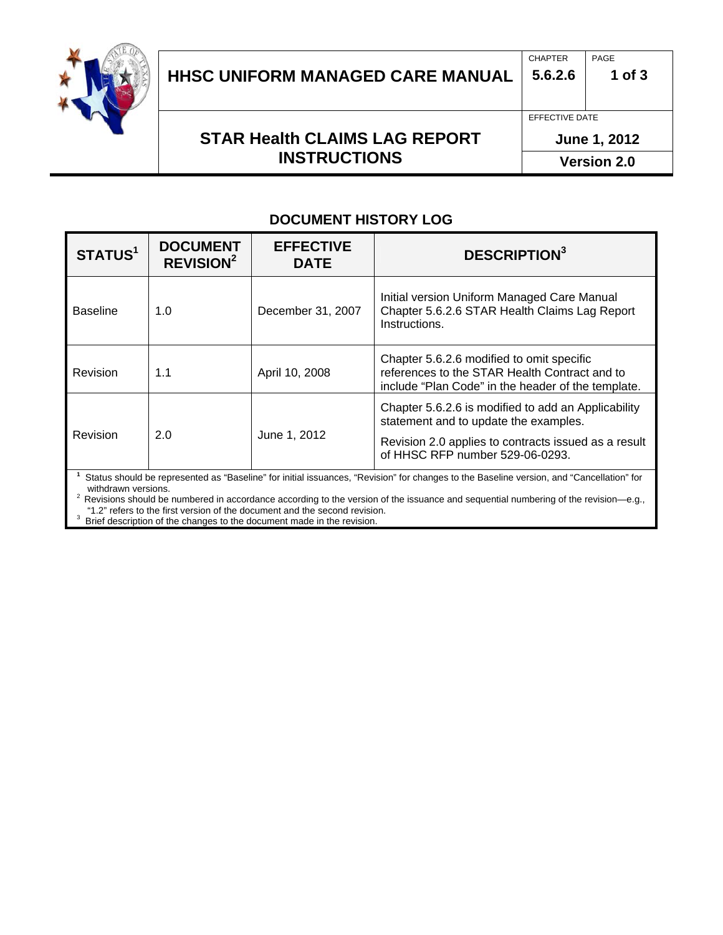

# HHSC UNIFORM MANAGED CARE MANUAL | 5.6.2.6 | 1 of 3

## **STAR Health CLAIMS LAG REPORT** June 1, 2012 **INSTRUCTIONS** Version 2.0

CHAPTER PAGE

#### **DOCUMENT HISTORY LOG**

| STATUS <sup>1</sup>                                                                                                                                             | <b>DOCUMENT</b><br><b>REVISION<sup>2</sup></b> | <b>EFFECTIVE</b><br><b>DATE</b> | <b>DESCRIPTION</b> <sup>3</sup>                                                                                                                                                         |  |
|-----------------------------------------------------------------------------------------------------------------------------------------------------------------|------------------------------------------------|---------------------------------|-----------------------------------------------------------------------------------------------------------------------------------------------------------------------------------------|--|
| <b>Baseline</b>                                                                                                                                                 | 1.0                                            | December 31, 2007               | Initial version Uniform Managed Care Manual<br>Chapter 5.6.2.6 STAR Health Claims Lag Report<br>Instructions.                                                                           |  |
| Revision                                                                                                                                                        | 1.1                                            | April 10, 2008                  | Chapter 5.6.2.6 modified to omit specific<br>references to the STAR Health Contract and to<br>include "Plan Code" in the header of the template.                                        |  |
| Revision                                                                                                                                                        | 2.0                                            | June 1, 2012                    | Chapter 5.6.2.6 is modified to add an Applicability<br>statement and to update the examples.<br>Revision 2.0 applies to contracts issued as a result<br>of HHSC RFP number 529-06-0293. |  |
| Status should be represented as "Baseline" for initial issuances, "Revision" for changes to the Baseline version, and "Cancellation" for<br>withdrawn versions. |                                                |                                 |                                                                                                                                                                                         |  |

withdrawn versions.<br><sup>2</sup> Revisions should be numbered in accordance according to the version of the issuance and sequential numbering of the revision—e.g., "1.2" refers to the first version of the document and the second revision.<br><sup>3</sup> Priof description of the changes to the document mode in the revision.

<sup>3</sup> Brief description of the changes to the document made in the revision.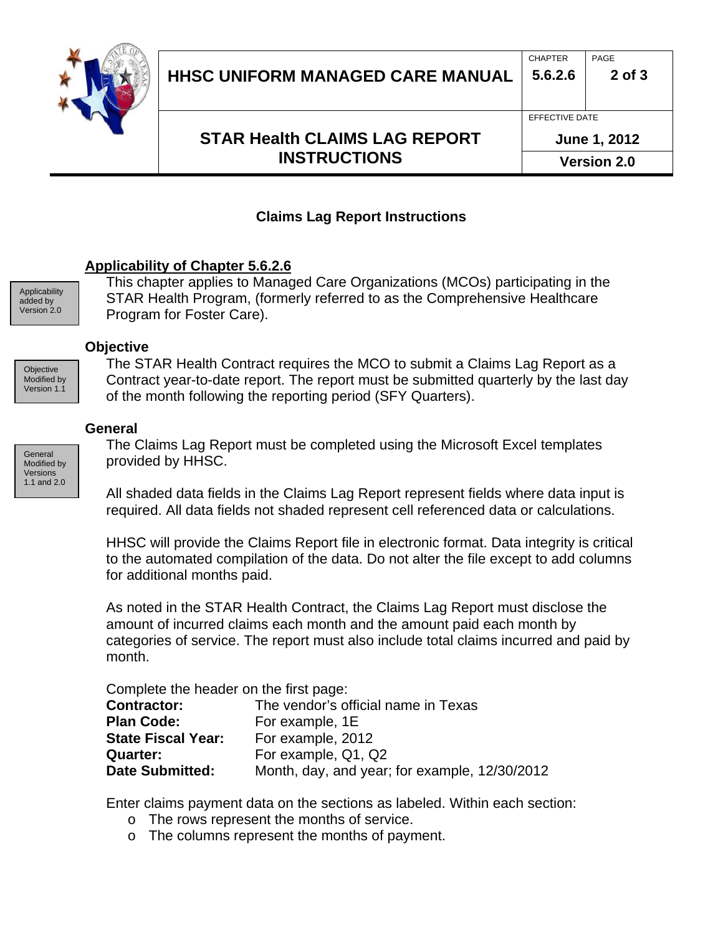

## **STAR Health CLAIMS LAG REPORT | June 1, 2012 INSTRUCTIONS** Version 2.0

CHAPTER PAGE

### **Claims Lag Report Instructions**

### **Applicability of Chapter 5.6.2.6**

Applicability added by Version 2.0

**Objective** Modified by Version 1.1

This chapter applies to Managed Care Organizations (MCOs) participating in the STAR Health Program, (formerly referred to as the Comprehensive Healthcare Program for Foster Care).

#### **Objective**

The STAR Health Contract requires the MCO to submit a Claims Lag Report as a Contract year-to-date report. The report must be submitted quarterly by the last day of the month following the reporting period (SFY Quarters).

#### **General**

Modified by Versions 1.1 and 2.0

The Claims Lag Report must be completed using the Microsoft Excel templates General **provided by HHSC.** 

> All shaded data fields in the Claims Lag Report represent fields where data input is required. All data fields not shaded represent cell referenced data or calculations.

HHSC will provide the Claims Report file in electronic format. Data integrity is critical to the automated compilation of the data. Do not alter the file except to add columns for additional months paid.

As noted in the STAR Health Contract, the Claims Lag Report must disclose the amount of incurred claims each month and the amount paid each month by categories of service. The report must also include total claims incurred and paid by month.

Complete the header on the first page:

| The vendor's official name in Texas<br><b>Contractor:</b> |                                               |  |
|-----------------------------------------------------------|-----------------------------------------------|--|
| <b>Plan Code:</b>                                         | For example, 1E                               |  |
| <b>State Fiscal Year:</b>                                 | For example, 2012                             |  |
| Quarter:                                                  | For example, Q1, Q2                           |  |
| <b>Date Submitted:</b>                                    | Month, day, and year; for example, 12/30/2012 |  |

Enter claims payment data on the sections as labeled. Within each section:

- o The rows represent the months of service.
- o The columns represent the months of payment.